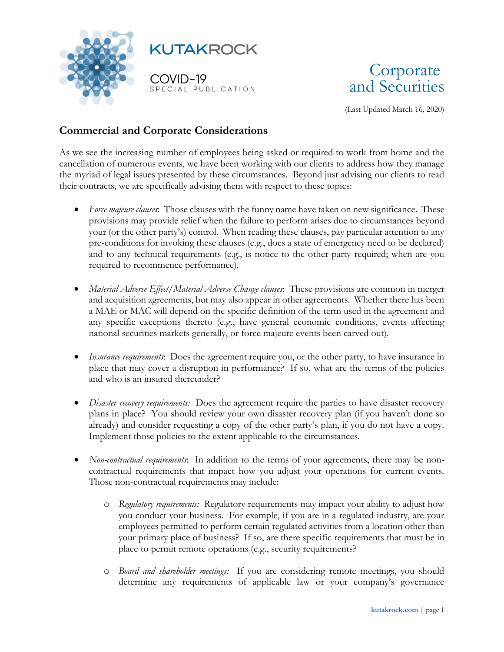



(Last Updated March 16, 2020)

## **Commercial and Corporate Considerations**

As we see the increasing number of employees being asked or required to work from home and the cancellation of numerous events, we have been working with our clients to address how they manage the myriad of legal issues presented by these circumstances. Beyond just advising our clients to read their contracts, we are specifically advising them with respect to these topics:

- *Force majeure clauses*: Those clauses with the funny name have taken on new significance. These provisions may provide relief when the failure to perform arises due to circumstances beyond your (or the other party's) control. When reading these clauses, pay particular attention to any pre-conditions for invoking these clauses (e.g., does a state of emergency need to be declared) and to any technical requirements (e.g., is notice to the other party required; when are you required to recommence performance).
- *Material Adverse Effect/Material Adverse Change clauses*: These provisions are common in merger and acquisition agreements, but may also appear in other agreements. Whether there has been a MAE or MAC will depend on the specific definition of the term used in the agreement and any specific exceptions thereto (e.g., have general economic conditions, events affecting national securities markets generally, or force majeure events been carved out).
- *Insurance requirements*: Does the agreement require you, or the other party, to have insurance in place that may cover a disruption in performance? If so, what are the terms of the policies and who is an insured thereunder?
- *Disaster recovery requirements:* Does the agreement require the parties to have disaster recovery plans in place? You should review your own disaster recovery plan (if you haven't done so already) and consider requesting a copy of the other party's plan, if you do not have a copy. Implement those policies to the extent applicable to the circumstances.
- *Non-contractual requirements*: In addition to the terms of your agreements, there may be noncontractual requirements that impact how you adjust your operations for current events. Those non-contractual requirements may include:
	- o *Regulatory requirements:* Regulatory requirements may impact your ability to adjust how you conduct your business. For example, if you are in a regulated industry, are your employees permitted to perform certain regulated activities from a location other than your primary place of business? If so, are there specific requirements that must be in place to permit remote operations (e.g., security requirements?
	- o *Board and shareholder meetings:* If you are considering remote meetings, you should determine any requirements of applicable law or your company's governance